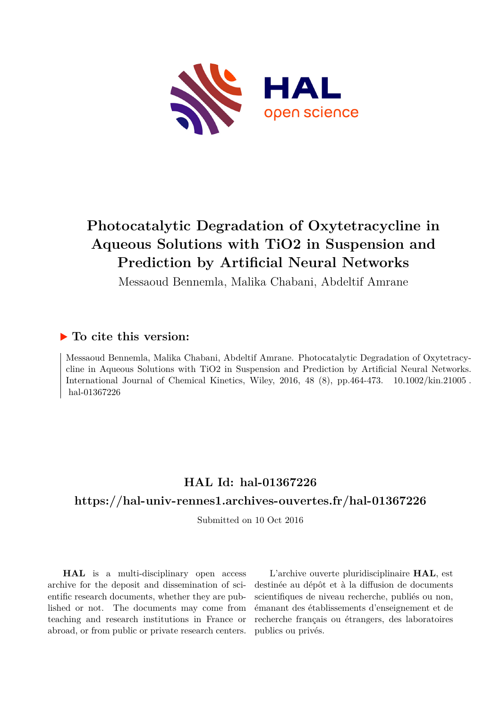

# **Photocatalytic Degradation of Oxytetracycline in Aqueous Solutions with TiO2 in Suspension and Prediction by Artificial Neural Networks**

Messaoud Bennemla, Malika Chabani, Abdeltif Amrane

### **To cite this version:**

Messaoud Bennemla, Malika Chabani, Abdeltif Amrane. Photocatalytic Degradation of Oxytetracycline in Aqueous Solutions with TiO2 in Suspension and Prediction by Artificial Neural Networks. International Journal of Chemical Kinetics, Wiley, 2016, 48  $(8)$ , pp.464-473.  $10.1002/\text{kin}.21005$ . hal-01367226

## **HAL Id: hal-01367226**

### **<https://hal-univ-rennes1.archives-ouvertes.fr/hal-01367226>**

Submitted on 10 Oct 2016

**HAL** is a multi-disciplinary open access archive for the deposit and dissemination of scientific research documents, whether they are published or not. The documents may come from teaching and research institutions in France or abroad, or from public or private research centers.

L'archive ouverte pluridisciplinaire **HAL**, est destinée au dépôt et à la diffusion de documents scientifiques de niveau recherche, publiés ou non, émanant des établissements d'enseignement et de recherche français ou étrangers, des laboratoires publics ou privés.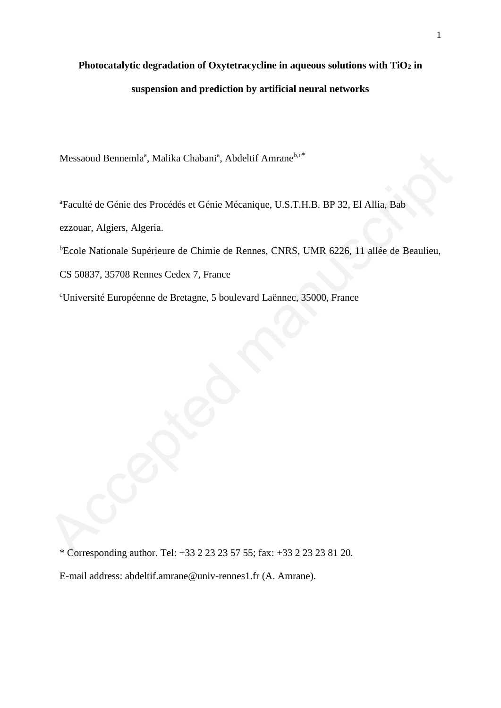## **Photocatalytic degradation of Oxytetracycline in aqueous solutions with TiO<sup>2</sup> in suspension and prediction by artificial neural networks**

Messaoud Bennemla<sup>a</sup>, Malika Chabani<sup>a</sup>, Abdeltif Amrane<sup>b,c\*</sup>

<sup>a</sup>Faculté de Génie des Procédés et Génie Mécanique, U.S.T.H.B. BP 32, El Allia, Bab

ezzouar, Algiers, Algeria.

<sup>b</sup>Ecole Nationale Supérieure de Chimie de Rennes, CNRS, UMR 6226, 11 allée de Beaulieu, Messaoud Bennemla<sup>s</sup>, Malika Chabani<sup>a</sup>, Abdeltif Amrane<sup>b, ex</sup><br>
"Faculté de Génie des Procédés et Génie Mécanique, U.S.T.H.B. BP 32, El Allia, Bab<br>
ezzouar, Algiers, Algeria.<br>
"Ecole Nationale Supérieure de Chimie de Renn

CS 50837, 35708 Rennes Cedex 7, France

<sup>c</sup>Université Européenne de Bretagne, 5 boulevard Laënnec, 35000, France

\* Corresponding author. Tel: +33 2 23 23 57 55; fax: +33 2 23 23 81 20.

E-mail address: abdeltif.amrane@univ-rennes1.fr (A. Amrane).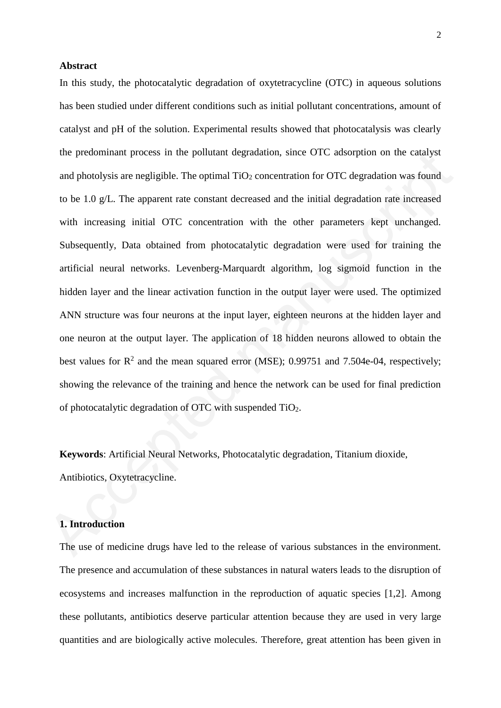#### **Abstract**

In this study, the photocatalytic degradation of oxytetracycline (OTC) in aqueous solutions has been studied under different conditions such as initial pollutant concentrations, amount of catalyst and pH of the solution. Experimental results showed that photocatalysis was clearly the predominant process in the pollutant degradation, since OTC adsorption on the catalyst and photolysis are negligible. The optimal  $TiO<sub>2</sub>$  concentration for OTC degradation was found to be 1.0 g/L. The apparent rate constant decreased and the initial degradation rate increased with increasing initial OTC concentration with the other parameters kept unchanged. Subsequently, Data obtained from photocatalytic degradation were used for training the artificial neural networks. Levenberg-Marquardt algorithm, log sigmoid function in the hidden layer and the linear activation function in the output layer were used. The optimized ANN structure was four neurons at the input layer, eighteen neurons at the hidden layer and one neuron at the output layer. The application of 18 hidden neurons allowed to obtain the best values for  $\mathbb{R}^2$  and the mean squared error (MSE); 0.99751 and 7.504e-04, respectively; showing the relevance of the training and hence the network can be used for final prediction of photocatalytic degradation of OTC with suspended TiO2. the predominant process in the pollutant degradation, since OTC adsorption on the catalyst<br>and photolysis are negligible. The optimal TO2 concentration for OTC degradation was found<br>to be 1.0 g/1. The apparent rate consta

**Keywords**: Artificial Neural Networks, Photocatalytic degradation, Titanium dioxide, Antibiotics, Oxytetracycline.

#### **1. Introduction**

The use of medicine drugs have led to the release of various substances in the environment. The presence and accumulation of these substances in natural waters leads to the disruption of ecosystems and increases malfunction in the reproduction of aquatic species [1,2]. Among these pollutants, antibiotics deserve particular attention because they are used in very large quantities and are biologically active molecules. Therefore, great attention has been given in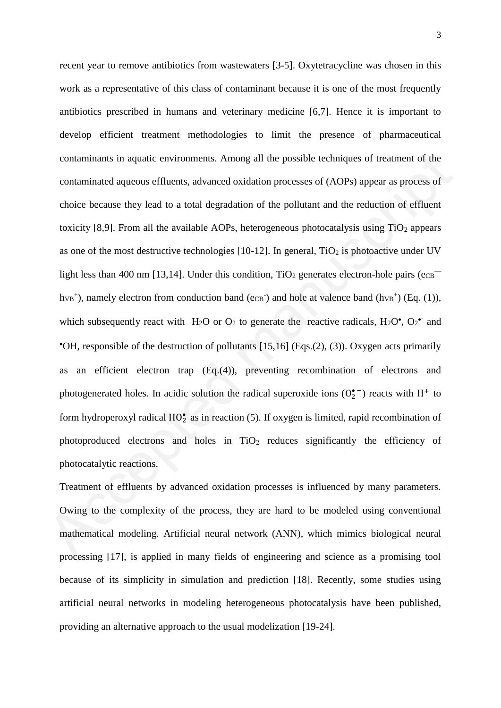recent year to remove antibiotics from wastewaters [3-5]. Oxytetracycline was chosen in this work as a representative of this class of contaminant because it is one of the most frequently antibiotics prescribed in humans and veterinary medicine [6,7]. Hence it is important to develop efficient treatment methodologies to limit the presence of pharmaceutical contaminants in aquatic environments. Among all the possible techniques of treatment of the contaminated aqueous effluents, advanced oxidation processes of (AOPs) appear as process of choice because they lead to a total degradation of the pollutant and the reduction of effluent toxicity [8,9]. From all the available AOPs, heterogeneous photocatalysis using  $TiO<sub>2</sub>$  appears as one of the most destructive technologies  $[10-12]$ . In general,  $TiO<sub>2</sub>$  is photoactive under UV light less than 400 nm [13,14]. Under this condition,  $TiO<sub>2</sub>$  generates electron-hole pairs ( $e_{CB}$  $h_{VB}^+$ ), namely electron from conduction band (e<sub>CB</sub><sup>-</sup>) and hole at valence band ( $h_{VB}^+$ ) (Eq. (1)), which subsequently react with  $H_2O$  or  $O_2$  to generate the reactive radicals,  $H_2O^{\bullet}$ ,  $O_2^{\bullet-}$  and  $\bullet$ OH, responsible of the destruction of pollutants [15,16] (Eqs.(2), (3)). Oxygen acts primarily as an efficient electron trap (Eq.(4)), preventing recombination of electrons and photogenerated holes. In acidic solution the radical superoxide ions  $(0<sub>2</sub><sup>o</sup>)$  reacts with H<sup>+</sup> to form hydroperoxyl radical  $HO_2^{\bullet}$  as in reaction (5). If oxygen is limited, rapid recombination of photoproduced electrons and holes in  $TiO<sub>2</sub>$  reduces significantly the efficiency of photocatalytic reactions. contaminants in aquatic environments. Among all the possible techniques of treatment of the<br>contaminated aqueous effluents, advanced oxidation processes of (AOPs) appear as process of<br>choice because they lead to a total d

Treatment of effluents by advanced oxidation processes is influenced by many parameters. Owing to the complexity of the process, they are hard to be modeled using conventional mathematical modeling. Artificial neural network (ANN), which mimics biological neural processing [17], is applied in many fields of engineering and science as a promising tool because of its simplicity in simulation and prediction [18]. Recently, some studies using artificial neural networks in modeling heterogeneous photocatalysis have been published, providing an alternative approach to the usual modelization [19-24].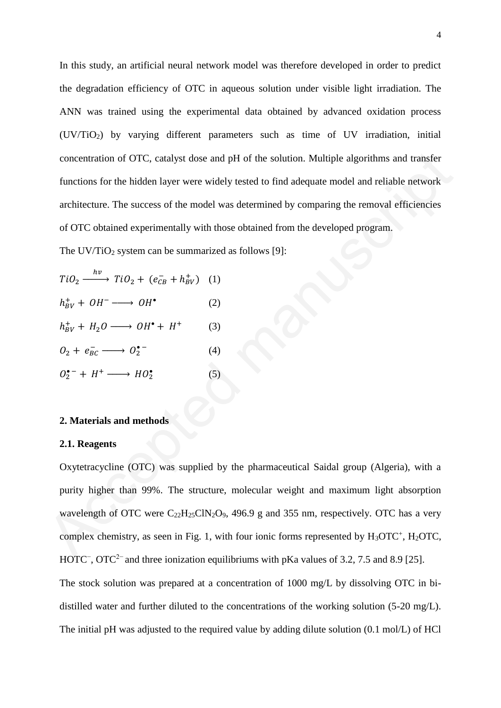In this study, an artificial neural network model was therefore developed in order to predict the degradation efficiency of OTC in aqueous solution under visible light irradiation. The ANN was trained using the experimental data obtained by advanced oxidation process (UV/TiO2) by varying different parameters such as time of UV irradiation, initial concentration of OTC, catalyst dose and pH of the solution. Multiple algorithms and transfer functions for the hidden layer were widely tested to find adequate model and reliable network architecture. The success of the model was determined by comparing the removal efficiencies of OTC obtained experimentally with those obtained from the developed program.

The  $UV/TiO<sub>2</sub>$  system can be summarized as follows [9]:

$$
TiO2 \xrightarrow{hv} TiO2 + (eCB- + hBV+) (1)
$$
  
\n
$$
hBV+ + OH- \longrightarrow OH•
$$
 (2)  
\n
$$
hBV+ + H2O \longrightarrow OH• + H+
$$
 (3)  
\n
$$
O2 + eBC- \longrightarrow O2•-
$$
 (4)  
\n
$$
O2• + H+ \longrightarrow HO2•
$$
 (5)

#### **2. Materials and methods**

#### **2.1. Reagents**

Oxytetracycline (OTC) was supplied by the pharmaceutical Saidal group (Algeria), with a purity higher than 99%. The structure, molecular weight and maximum light absorption wavelength of OTC were  $C_{22}H_{25}C_{1}N_{2}O_9$ , 496.9 g and 355 nm, respectively. OTC has a very complex chemistry, as seen in Fig. 1, with four ionic forms represented by  $H_3OTC^+$ ,  $H_2OTC$ , HOTC<sup>-</sup>, OTC<sup>2-</sup> and three ionization equilibriums with pKa values of 3.2, 7.5 and 8.9 [25]. The stock solution was prepared at a concentration of 1000 mg/L by dissolving OTC in bidistilled water and further diluted to the concentrations of the working solution (5-20 mg/L). The initial pH was adjusted to the required value by adding dilute solution (0.1 mol/L) of HCl concentration of OTC, catalyst dose and pH of the solution. Multiple algorithms and transfer<br>
functions for the hidden layer were widely tested to find adequate model and reliable network<br>
architecture. The success of the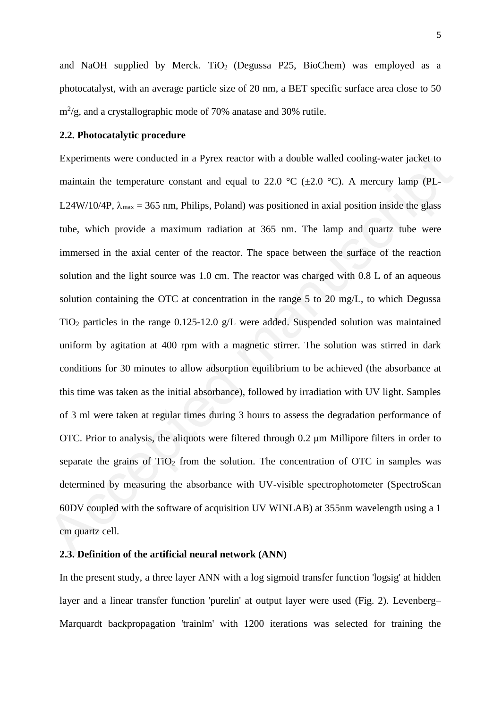and NaOH supplied by Merck. TiO<sub>2</sub> (Degussa P25, BioChem) was employed as a photocatalyst, with an average particle size of 20 nm, a BET specific surface area close to 50  $\text{m}^2/\text{g}$ , and a crystallographic mode of 70% anatase and 30% rutile.

#### **2.2. Photocatalytic procedure**

Experiments were conducted in a Pyrex reactor with a double walled cooling-water jacket to maintain the temperature constant and equal to 22.0  $\degree$ C ( $\pm$ 2.0  $\degree$ C). A mercury lamp (PL-L24W/10/4P,  $\lambda_{\text{max}} = 365$  nm, Philips, Poland) was positioned in axial position inside the glass tube, which provide a maximum radiation at 365 nm. The lamp and quartz tube were immersed in the axial center of the reactor. The space between the surface of the reaction solution and the light source was 1.0 cm. The reactor was charged with 0.8 L of an aqueous solution containing the OTC at concentration in the range 5 to 20 mg/L, to which Degussa TiO<sup>2</sup> particles in the range 0.125-12.0 g/L were added. Suspended solution was maintained uniform by agitation at 400 rpm with a magnetic stirrer. The solution was stirred in dark conditions for 30 minutes to allow adsorption equilibrium to be achieved (the absorbance at this time was taken as the initial absorbance), followed by irradiation with UV light. Samples of 3 ml were taken at regular times during 3 hours to assess the degradation performance of OTC. Prior to analysis, the aliquots were filtered through 0.2 μm Millipore filters in order to separate the grains of  $TiO<sub>2</sub>$  from the solution. The concentration of OTC in samples was determined by measuring the absorbance with UV-visible spectrophotometer (SpectroScan 60DV coupled with the software of acquisition UV WINLAB) at 355nm wavelength using a 1 cm quartz cell. Experiments were conducted in a Pyrex reactor with a double walled cooling-water jacket to<br>maintain the temperature constant and equal to 22.0 °C ( $\pm 2.0$  °C). A mercury lamp (PL-<br>L24W/10/4P,  $\lambda_{\text{max}} = 365$  nm, Philips,

#### **2.3. Definition of the artificial neural network (ANN)**

In the present study, a three layer ANN with a log sigmoid transfer function 'logsig' at hidden layer and a linear transfer function 'purelin' at output layer were used (Fig. 2). Levenberg– Marquardt backpropagation 'trainlm' with 1200 iterations was selected for training the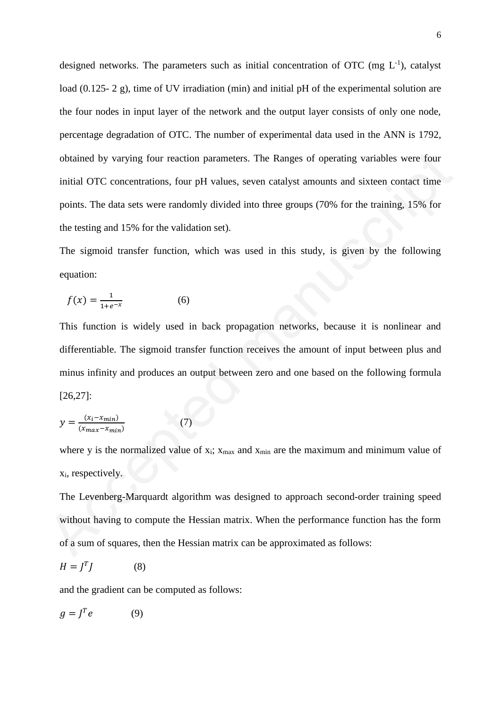designed networks. The parameters such as initial concentration of OTC (mg  $L^{-1}$ ), catalyst load (0.125- 2 g), time of UV irradiation (min) and initial pH of the experimental solution are the four nodes in input layer of the network and the output layer consists of only one node, percentage degradation of OTC. The number of experimental data used in the ANN is 1792, obtained by varying four reaction parameters. The Ranges of operating variables were four initial OTC concentrations, four pH values, seven catalyst amounts and sixteen contact time points. The data sets were randomly divided into three groups (70% for the training, 15% for the testing and 15% for the validation set). obtained by varying four reaction parameters. The Ranges of operating variables were four<br>initial OTC concentrations, four pH values, seven catalyst amounts and sixteen contact time<br>points. The data sets were randomly div

The sigmoid transfer function, which was used in this study, is given by the following equation:

$$
f(x) = \frac{1}{1 + e^{-x}}\tag{6}
$$

This function is widely used in back propagation networks, because it is nonlinear and differentiable. The sigmoid transfer function receives the amount of input between plus and minus infinity and produces an output between zero and one based on the following formula [26,27]:

$$
y = \frac{(x_i - x_{min})}{(x_{max} - x_{min})}
$$
 (7)

where y is the normalized value of  $x_i$ ;  $x_{max}$  and  $x_{min}$  are the maximum and minimum value of xi, respectively.

The Levenberg-Marquardt algorithm was designed to approach second-order training speed without having to compute the Hessian matrix. When the performance function has the form of a sum of squares, then the Hessian matrix can be approximated as follows:

$$
H = J^T J \tag{8}
$$

and the gradient can be computed as follows:

$$
g = J^T e \tag{9}
$$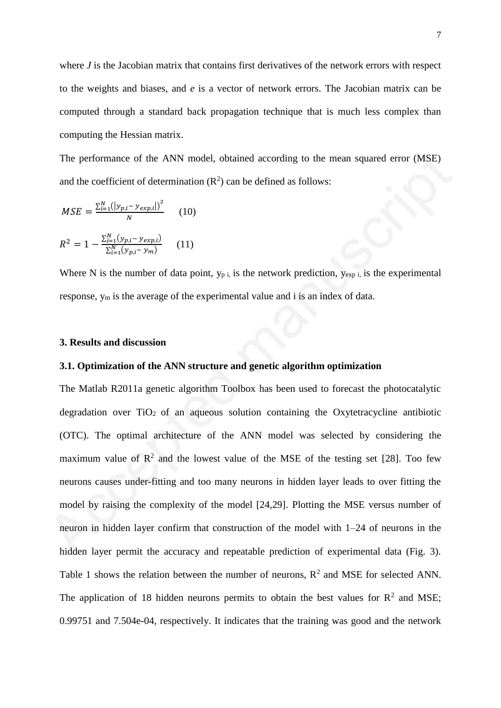where *J* is the Jacobian matrix that contains first derivatives of the network errors with respect to the weights and biases, and *e* is a vector of network errors. The Jacobian matrix can be computed through a standard back propagation technique that is much less complex than computing the Hessian matrix.

The performance of the ANN model, obtained according to the mean squared error (MSE) and the coefficient of determination  $(R^2)$  can be defined as follows:

$$
MSE = \frac{\sum_{i=1}^{N} (|y_{p,i} - y_{exp,i}|)^2}{N}
$$
 (10)  

$$
R^2 = 1 - \frac{\sum_{i=1}^{N} (y_{p,i} - y_{exp,i})}{\sum_{i=1}^{N} (y_{p,i} - y_m)}
$$
 (11)

Where N is the number of data point,  $y_{p,i}$  is the network prediction,  $y_{exp i}$  is the experimental response, y<sup>m</sup> is the average of the experimental value and i is an index of data.

#### **3. Results and discussion**

#### **3.1. Optimization of the ANN structure and genetic algorithm optimization**

The Matlab R2011a genetic algorithm Toolbox has been used to forecast the photocatalytic degradation over  $TiO<sub>2</sub>$  of an aqueous solution containing the Oxytetracycline antibiotic (OTC). The optimal architecture of the ANN model was selected by considering the maximum value of  $\mathbb{R}^2$  and the lowest value of the MSE of the testing set [28]. Too few neurons causes under-fitting and too many neurons in hidden layer leads to over fitting the model by raising the complexity of the model [24,29]. Plotting the MSE versus number of neuron in hidden layer confirm that construction of the model with 1–24 of neurons in the hidden layer permit the accuracy and repeatable prediction of experimental data (Fig. 3). Table 1 shows the relation between the number of neurons,  $R^2$  and MSE for selected ANN. The application of 18 hidden neurons permits to obtain the best values for  $\mathbb{R}^2$  and MSE; 0.99751 and 7.504e-04, respectively. It indicates that the training was good and the network The performance of the ANN model, obtained according to the mean squared error (MSE)<br>and the coefficient of determination (R<sup>2</sup>) can be defined as follows:<br> $MSE = \frac{\sum_{i=1}^{N} (|y_{p,i} - y_{sep,i}|)^{2}}{N}$  (10)<br> $R^{2} = 1 - \frac{\sum_{i=1}^{N} ($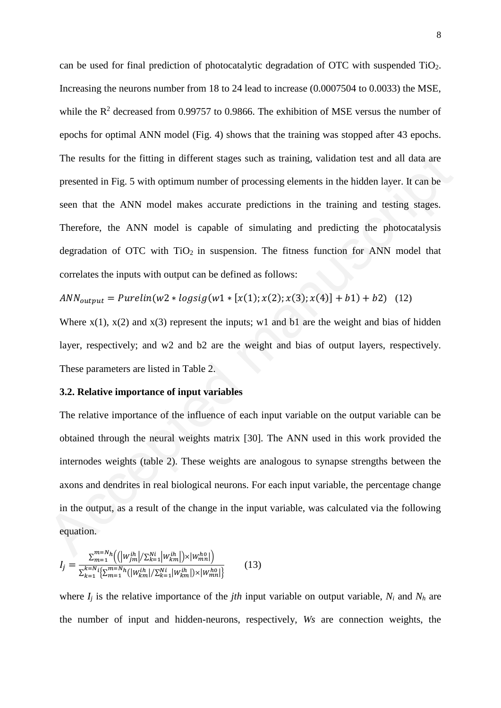can be used for final prediction of photocatalytic degradation of OTC with suspended TiO2. Increasing the neurons number from 18 to 24 lead to increase (0.0007504 to 0.0033) the MSE, while the  $\mathbb{R}^2$  decreased from 0.99757 to 0.9866. The exhibition of MSE versus the number of epochs for optimal ANN model (Fig. 4) shows that the training was stopped after 43 epochs. The results for the fitting in different stages such as training, validation test and all data are presented in Fig. 5 with optimum number of processing elements in the hidden layer. It can be seen that the ANN model makes accurate predictions in the training and testing stages. Therefore, the ANN model is capable of simulating and predicting the photocatalysis degradation of OTC with  $TiO<sub>2</sub>$  in suspension. The fitness function for ANN model that correlates the inputs with output can be defined as follows: The results for the fitting in different stages such as training, validation test and all dua are<br>presented in Fig. 5 with optimum number of processing elements in the hidden layer. It can be<br>seen that the ANN model makes

$$
ANN_{output} = Purelin(w2 * logistic(w1 * [x(1); x(2); x(3); x(4)] + b1) + b2) \quad (12)
$$

Where  $x(1)$ ,  $x(2)$  and  $x(3)$  represent the inputs; w1 and b1 are the weight and bias of hidden layer, respectively; and w2 and b2 are the weight and bias of output layers, respectively. These parameters are listed in Table 2.

#### **3.2. Relative importance of input variables**

The relative importance of the influence of each input variable on the output variable can be obtained through the neural weights matrix [30]. The ANN used in this work provided the internodes weights (table 2). These weights are analogous to synapse strengths between the axons and dendrites in real biological neurons. For each input variable, the percentage change in the output, as a result of the change in the input variable, was calculated via the following equation.

$$
I_{j} = \frac{\sum_{m=1}^{m=N} h \left( \left( |w_{jm}^{ih}| / \sum_{k=1}^{Ni} |w_{km}^{ih}| \right) \times |w_{mn}^{ho}| \right)}{\sum_{k=1}^{k=N} i \left\{ \sum_{m=1}^{m=N} h \left( |w_{km}^{ih}| / \sum_{k=1}^{Ni} |w_{km}^{ih}| \right) \times |w_{mn}^{ho}| \right\}} \tag{13}
$$

where  $I_i$  is the relative importance of the *jth* input variable on output variable,  $N_i$  and  $N_h$  are the number of input and hidden-neurons, respectively, *Ws* are connection weights, the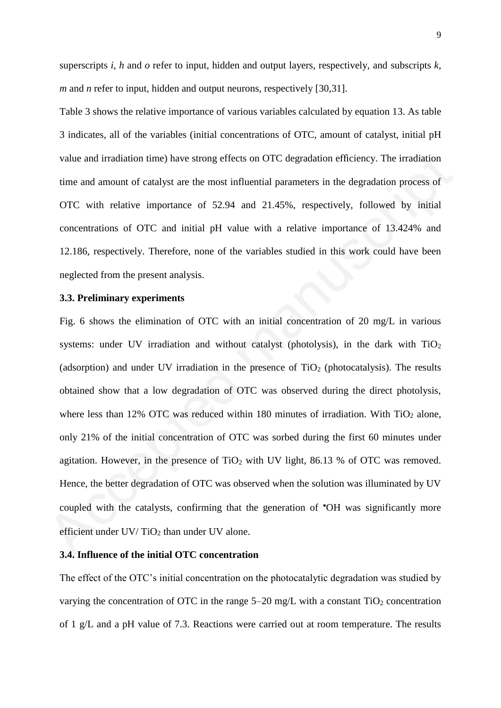superscripts *i, h* and *o* refer to input, hidden and output layers, respectively, and subscripts *k, m* and *n* refer to input, hidden and output neurons, respectively [30,31].

Table 3 shows the relative importance of various variables calculated by equation 13. As table 3 indicates, all of the variables (initial concentrations of OTC, amount of catalyst, initial pH value and irradiation time) have strong effects on OTC degradation efficiency. The irradiation time and amount of catalyst are the most influential parameters in the degradation process of OTC with relative importance of 52.94 and 21.45%, respectively, followed by initial concentrations of OTC and initial pH value with a relative importance of 13.424% and 12.186, respectively. Therefore, none of the variables studied in this work could have been neglected from the present analysis.

#### **3.3. Preliminary experiments**

Fig. 6 shows the elimination of OTC with an initial concentration of 20 mg/L in various systems: under UV irradiation and without catalyst (photolysis), in the dark with  $TiO<sub>2</sub>$ (adsorption) and under UV irradiation in the presence of  $TiO<sub>2</sub>$  (photocatalysis). The results obtained show that a low degradation of OTC was observed during the direct photolysis, where less than 12% OTC was reduced within 180 minutes of irradiation. With  $TiO<sub>2</sub>$  alone, only 21% of the initial concentration of OTC was sorbed during the first 60 minutes under agitation. However, in the presence of  $TiO<sub>2</sub>$  with UV light, 86.13 % of OTC was removed. Hence, the better degradation of OTC was observed when the solution was illuminated by UV coupled with the catalysts, confirming that the generation of **OH** was significantly more efficient under UV/TiO<sub>2</sub> than under UV alone. value and irradiation time) have strong effects on OTC degradation efficiency. The irradiation<br>time and amount of catalyst are the most influential parameters in the degradation process of<br>OTC with relative importance of

#### **3.4. Influence of the initial OTC concentration**

The effect of the OTC's initial concentration on the photocatalytic degradation was studied by varying the concentration of OTC in the range  $5-20$  mg/L with a constant TiO<sub>2</sub> concentration of 1 g/L and a pH value of 7.3. Reactions were carried out at room temperature. The results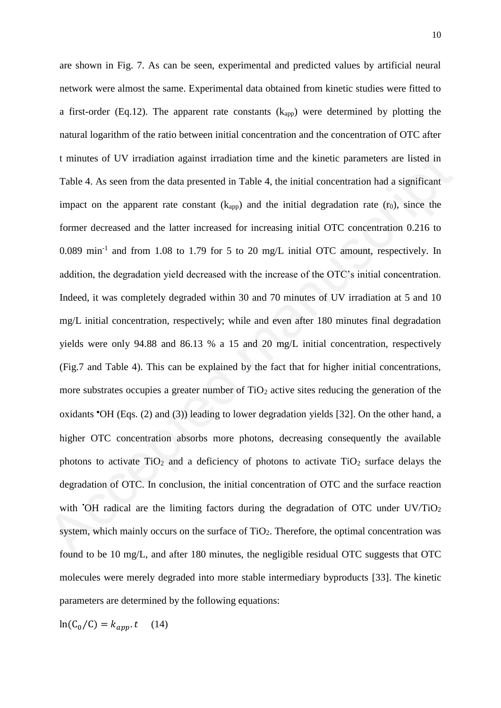are shown in Fig. 7. As can be seen, experimental and predicted values by artificial neural network were almost the same. Experimental data obtained from kinetic studies were fitted to a first-order (Eq.12). The apparent rate constants  $(k<sub>app</sub>)$  were determined by plotting the natural logarithm of the ratio between initial concentration and the concentration of OTC after t minutes of UV irradiation against irradiation time and the kinetic parameters are listed in Table 4. As seen from the data presented in Table 4, the initial concentration had a significant impact on the apparent rate constant  $(k<sub>app</sub>)$  and the initial degradation rate  $(r<sub>0</sub>)$ , since the former decreased and the latter increased for increasing initial OTC concentration 0.216 to 0.089 min<sup>-1</sup> and from 1.08 to 1.79 for 5 to 20 mg/L initial OTC amount, respectively. In addition, the degradation yield decreased with the increase of the OTC's initial concentration. Indeed, it was completely degraded within 30 and 70 minutes of UV irradiation at 5 and 10 mg/L initial concentration, respectively; while and even after 180 minutes final degradation yields were only 94.88 and 86.13 % a 15 and 20 mg/L initial concentration, respectively (Fig.7 and Table 4). This can be explained by the fact that for higher initial concentrations, more substrates occupies a greater number of TiO<sub>2</sub> active sites reducing the generation of the oxidants  $\text{OH}$  (Eqs. (2) and (3)) leading to lower degradation yields [32]. On the other hand, a higher OTC concentration absorbs more photons, decreasing consequently the available photons to activate  $TiO<sub>2</sub>$  and a deficiency of photons to activate  $TiO<sub>2</sub>$  surface delays the degradation of OTC. In conclusion, the initial concentration of OTC and the surface reaction with  $\overline{O}$ H radical are the limiting factors during the degradation of  $\overline{O}$ TC under UV/TiO<sub>2</sub> system, which mainly occurs on the surface of  $TiO<sub>2</sub>$ . Therefore, the optimal concentration was found to be 10 mg/L, and after 180 minutes, the negligible residual OTC suggests that OTC molecules were merely degraded into more stable intermediary byproducts [33]. The kinetic parameters are determined by the following equations: 1 minutes of UV irradiation against irradiation time and the kinetic parameters are listed in<br>Table 4. As seen from the data presented in Table 4, the initial concentration had a significant<br>impact on the apparent rate co

$$
\ln(C_0/C) = k_{app}.t \quad (14)
$$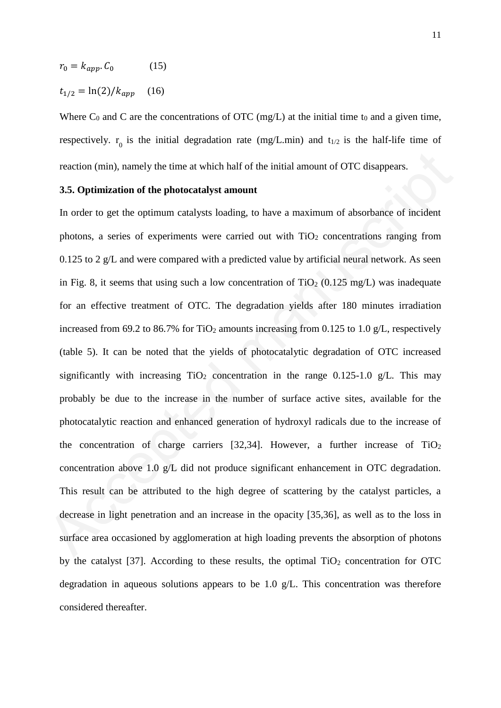$$
r_0 = k_{app}. C_0 \tag{15}
$$

$$
t_{1/2} = \ln(2) / k_{app} \quad (16)
$$

Where  $C_0$  and C are the concentrations of OTC (mg/L) at the initial time t<sub>0</sub> and a given time, respectively.  $r_0$  is the initial degradation rate (mg/L.min) and  $t_{1/2}$  is the half-life time of reaction (min), namely the time at which half of the initial amount of OTC disappears.

#### **3.5. Optimization of the photocatalyst amount**

In order to get the optimum catalysts loading, to have a maximum of absorbance of incident photons, a series of experiments were carried out with  $TiO<sub>2</sub>$  concentrations ranging from 0.125 to 2  $g/L$  and were compared with a predicted value by artificial neural network. As seen in Fig. 8, it seems that using such a low concentration of  $TiO<sub>2</sub>$  (0.125 mg/L) was inadequate for an effective treatment of OTC. The degradation yields after 180 minutes irradiation increased from 69.2 to 86.7% for TiO<sub>2</sub> amounts increasing from 0.125 to 1.0 g/L, respectively (table 5). It can be noted that the yields of photocatalytic degradation of OTC increased significantly with increasing  $TiO<sub>2</sub>$  concentration in the range 0.125-1.0 g/L. This may probably be due to the increase in the number of surface active sites, available for the photocatalytic reaction and enhanced generation of hydroxyl radicals due to the increase of the concentration of charge carriers  $[32,34]$ . However, a further increase of TiO<sub>2</sub> concentration above 1.0 g/L did not produce significant enhancement in OTC degradation. This result can be attributed to the high degree of scattering by the catalyst particles, a decrease in light penetration and an increase in the opacity [35,36], as well as to the loss in surface area occasioned by agglomeration at high loading prevents the absorption of photons by the catalyst [37]. According to these results, the optimal  $TiO<sub>2</sub>$  concentration for OTC degradation in aqueous solutions appears to be 1.0 g/L. This concentration was therefore considered thereafter. reaction (min), namely the time at which half of the initial amount of OTC disappears.<br>
3.5. Optimization of the photocatalyst amount<br>
In order to get the optimum catalysts loading, to have a maximum of absorbance of inci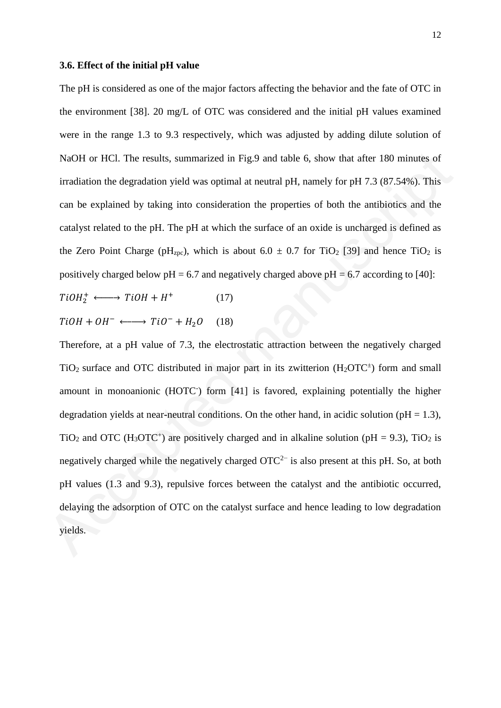#### **3.6. Effect of the initial pH value**

The pH is considered as one of the major factors affecting the behavior and the fate of OTC in the environment [38]. 20 mg/L of OTC was considered and the initial pH values examined were in the range 1.3 to 9.3 respectively, which was adjusted by adding dilute solution of NaOH or HCl. The results, summarized in Fig.9 and table 6, show that after 180 minutes of irradiation the degradation yield was optimal at neutral pH, namely for pH 7.3 (87.54%). This can be explained by taking into consideration the properties of both the antibiotics and the catalyst related to the pH. The pH at which the surface of an oxide is uncharged is defined as the Zero Point Charge (pH<sub>zpc</sub>), which is about  $6.0 \pm 0.7$  for TiO<sub>2</sub> [39] and hence TiO<sub>2</sub> is positively charged below  $pH = 6.7$  and negatively charged above  $pH = 6.7$  according to [40]:

$$
TiOH_2^+ \longleftrightarrow TiOH + H^+ \tag{17}
$$

$$
TiOH + OH^- \longleftrightarrow TiO^- + H_2O \quad (18)
$$

Therefore, at a pH value of 7.3, the electrostatic attraction between the negatively charged TiO<sub>2</sub> surface and OTC distributed in major part in its zwitterion  $(H_2 OTC^+)$  form and small amount in monoanionic (HOTC<sup>-</sup>) form [41] is favored, explaining potentially the higher degradation yields at near-neutral conditions. On the other hand, in acidic solution ( $pH = 1.3$ ), TiO<sub>2</sub> and OTC (H<sub>3</sub>OTC<sup>+</sup>) are positively charged and in alkaline solution (pH = 9.3), TiO<sub>2</sub> is negatively charged while the negatively charged  $\text{OTC}^{2-}$  is also present at this pH. So, at both pH values (1.3 and 9.3), repulsive forces between the catalyst and the antibiotic occurred, delaying the adsorption of OTC on the catalyst surface and hence leading to low degradation yields. NaOH or HCl. The results, summarized in Fig.9 and table 6, show that after 180 minutes of<br>irradiation the degradation yield was optimal at neutral pH, namely for pH 7.3 (87.54%). This<br>can be explained by taking into consi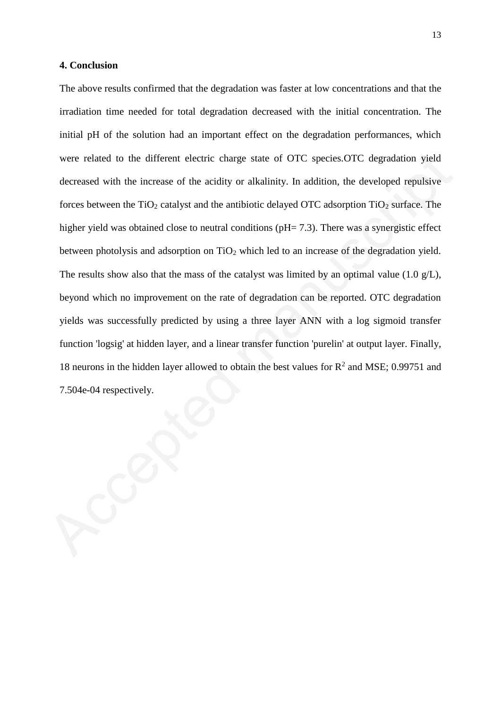#### **4. Conclusion**

The above results confirmed that the degradation was faster at low concentrations and that the irradiation time needed for total degradation decreased with the initial concentration. The initial pH of the solution had an important effect on the degradation performances, which were related to the different electric charge state of OTC species.OTC degradation yield decreased with the increase of the acidity or alkalinity. In addition, the developed repulsive forces between the  $TiO<sub>2</sub>$  catalyst and the antibiotic delayed OTC adsorption  $TiO<sub>2</sub>$  surface. The higher yield was obtained close to neutral conditions (pH= 7.3). There was a synergistic effect between photolysis and adsorption on TiO<sub>2</sub> which led to an increase of the degradation yield. The results show also that the mass of the catalyst was limited by an optimal value  $(1.0 \text{ g/L})$ , beyond which no improvement on the rate of degradation can be reported. OTC degradation yields was successfully predicted by using a three layer ANN with a log sigmoid transfer function 'logsig' at hidden layer, and a linear transfer function 'purelin' at output layer. Finally, 18 neurons in the hidden layer allowed to obtain the best values for  $R^2$  and MSE; 0.99751 and 7.504e-04 respectively. were related to the different electric charge state of OTC species.OTC degradation yield<br>decreased with the increase of the acidity or alkalinity. In addition, the developed repulsive<br>forces between the TiO<sub>2</sub> estalyst an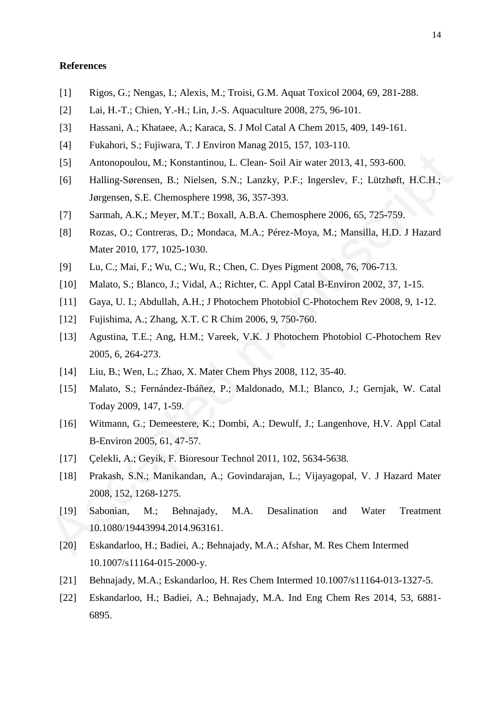#### **References**

- [1] Rigos, G.; Nengas, I.; Alexis, M.; Troisi, G.M. Aquat Toxicol 2004, 69, 281**-**288.
- [2] Lai, H.-T.; Chien, Y.-H.; Lin, J.-S. Aquaculture 2008, 275, 96**-**101.
- [3] Hassani, A.; Khataee, A.; Karaca, S. J Mol Catal A Chem 2015, 409, 149-161.
- [4] Fukahori, S.; Fujiwara, T. J Environ Manag 2015, 157, 103-110.
- [5] Antonopoulou, M.; Konstantinou, L. Clean- Soil Air water 2013, 41, 593-600.
- [6] Halling-Sørensen, B.; Nielsen, S.N.; Lanzky, P.F.; Ingerslev, F.; Lützhøft, H.C.H.; Jørgensen, S.E. Chemosphere 1998, 36, 357**-**393.
- [7] Sarmah, A.K.; Meyer, M.T.; Boxall, A.B.A. Chemosphere 2006, 65, 725**-**759.
- [8] Rozas, O.; Contreras, D.; Mondaca, M.A.; Pérez-Moya, M.; Mansilla, H.D. J Hazard Mater 2010, 177, 1025**-**1030.
- [9] Lu, C.; Mai, F.; Wu, C.; Wu, R.; Chen, C. Dyes Pigment 2008, 76, 706**-**713.
- [10] Malato, S.; Blanco, J.; Vidal, A.; Richter, C. Appl Catal B-Environ 2002, 37, 1**-**15.
- [11] Gaya, U. I.; Abdullah, A.H.; J Photochem Photobiol C-Photochem Rev 2008, 9, 1**-**12.
- [12] Fujishima, A.; Zhang, X.T. C R Chim 2006, 9, 750-760.
- [13] Agustina, T.E.; Ang, H.M.; Vareek, V.K. J Photochem Photobiol C-Photochem Rev 2005, 6, 264**-**273.
- [14] Liu, B.; Wen, L.; Zhao, X. Mater Chem Phys 2008, 112, 35**-**40.
- [15] Malato, S.; Fernández-Ibáñez, P.; Maldonado, M.I.; Blanco, J.; Gernjak, W. Catal Today 2009, 147, 1**-**59.
- [16] Witmann, G.; Demeestere, K.; Dombi, A.; Dewulf, J.; Langenhove, H.V. Appl Catal B-Environ 2005, 61, 47-57. (5) Antonopoulou, M.: Konstantinou, L. Clean- Soil Air water 2013, 41, 593-600.<br>
[6) Halling-Sørensen, B.: Nielsen, S.N.: Lauzky, P.F.; Ingerslev, F.: Lötzhøft, H.C.H.; Jørgensen, S.E. Chemosphere 1998, 36, 357-393.<br>
[7]
	- [17] Çelekli, A.; Geyik, F. Bioresour Technol 2011, 102, 5634**-**5638.
	- [18] Prakash, S.N.; Manikandan, A.; Govindarajan, L.; Vijayagopal, V. J Hazard Mater 2008, 152, 1268**-**1275.
	- [19] Sabonian, M.; Behnajady, M.A. Desalination and Water Treatment 10.1080/19443994.2014.963161.
	- [20] Eskandarloo, H.; Badiei, A.; Behnajady, M.A.; Afshar, M. Res Chem Intermed 10.1007/s11164-015-2000-y.
	- [21] Behnajady, M.A.; Eskandarloo, H. Res Chem Intermed 10.1007/s11164-013-1327-5.
	- [22] Eskandarloo, H.; Badiei, A.; Behnajady, M.A. Ind Eng Chem Res 2014, 53, 6881- 6895.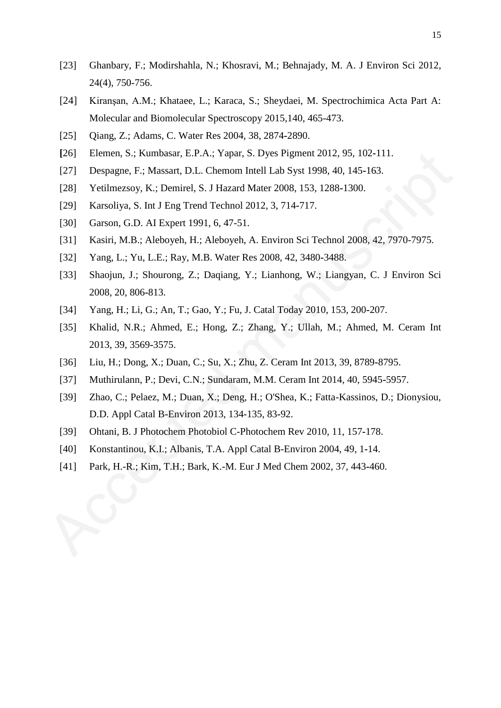- [23] Ghanbary, F.; Modirshahla, N.; Khosravi, M.; Behnajady, M. A. J Environ Sci 2012, 24(4), 750-756.
- [24] Kiranşan, A.M.; Khataee, L.; Karaca, S.; Sheydaei, M. Spectrochimica Acta Part A: Molecular and Biomolecular Spectroscopy 2015,140, 465-473.
- [25] Qiang, Z.; Adams, C. Water Res 2004, 38, 2874**-**2890.
- **[**26] Elemen, S.; Kumbasar, E.P.A.; Yapar, S. Dyes Pigment 2012, 95, 102**-**111.
- [27] Despagne, F.; Massart, D.L. Chemom Intell Lab Syst 1998, 40, 145**-**163.
- [28] Yetilmezsoy, K.; Demirel, S. J Hazard Mater 2008, 153, 1288**-**1300.
- [29] Karsoliya, S. Int J Eng Trend Technol 2012, 3, 714**-**717.
- [30] Garson, G.D. AI Expert 1991, 6, 47-51.
- [31] Kasiri, M.B.; Aleboyeh, H.; Aleboyeh, A. Environ Sci Technol 2008, 42, 7970-7975.
- [32] Yang, L.; Yu, L.E.; Ray, M.B. Water Res 2008, 42, 3480**-**3488.
- [33] Shaojun, J.; Shourong, Z.; Daqiang, Y.; Lianhong, W.; Liangyan, C. J Environ Sci 2008, 20, 806**-**813.
- [34] Yang, H.; Li, G.; An, T.; Gao, Y.; Fu, J. Catal Today 2010, 153, 200**-**207.
- [35] Khalid, N.R.; Ahmed, E.; Hong, Z.; Zhang, Y.; Ullah, M.; Ahmed, M. Ceram Int 2013, 39, 3569**-**3575.
- [36] Liu, H.; Dong, X.; Duan, C.; Su, X.; Zhu, Z. Ceram Int 2013, 39, 8789**-**8795.
- [37] Muthirulann, P.; Devi, C.N.; Sundaram, M.M. Ceram Int 2014, 40, 5945**-**5957.
- [39] Zhao, C.; Pelaez, M.; Duan, X.; Deng, H.; O'Shea, K.; Fatta-Kassinos, D.; Dionysiou, D.D. Appl Catal B-Environ 2013, 134-135, 83**-**92. (26) Elemen, S.; Kumbasar, E.P.A.; Yapar, S. Dyes Pigment 2012, 95, 102-111.<br>
1271 Despagne, F.; Massart, D.L. Chemon Intell Lab Syst 1998, 40, 145-163.<br>
1281 Yettimezsoy, K.; Denniel, S. J Hazard Mater 2008, 153, 1288-13
	- [39] Ohtani, B. J Photochem Photobiol C-Photochem Rev 2010, 11, 157**-**178.
	- [40] Konstantinou, K.I.; Albanis, T.A. Appl Catal B-Environ 2004, 49, 1**-**14.
	- [41] Park, H.-R.; Kim, T.H.; Bark, K.-M. Eur J Med Chem 2002, 37, 443**-**460.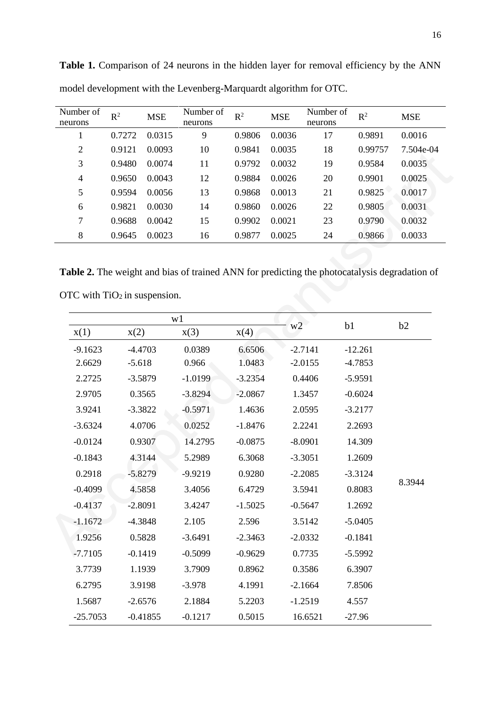| Number of<br>neurons | $R^2$  | <b>MSE</b> | Number of<br>neurons | $R^2$  | <b>MSE</b> | Number of<br>neurons | $R^2$   | <b>MSE</b> |
|----------------------|--------|------------|----------------------|--------|------------|----------------------|---------|------------|
|                      | 0.7272 | 0.0315     | 9                    | 0.9806 | 0.0036     | 17                   | 0.9891  | 0.0016     |
| $\overline{2}$       | 0.9121 | 0.0093     | 10                   | 0.9841 | 0.0035     | 18                   | 0.99757 | 7.504e-04  |
| 3                    | 0.9480 | 0.0074     | 11                   | 0.9792 | 0.0032     | 19                   | 0.9584  | 0.0035     |
| 4                    | 0.9650 | 0.0043     | 12                   | 0.9884 | 0.0026     | 20                   | 0.9901  | 0.0025     |
| 5                    | 0.9594 | 0.0056     | 13                   | 0.9868 | 0.0013     | 21                   | 0.9825  | 0.0017     |
| 6                    | 0.9821 | 0.0030     | 14                   | 0.9860 | 0.0026     | 22                   | 0.9805  | 0.0031     |
| 7                    | 0.9688 | 0.0042     | 15                   | 0.9902 | 0.0021     | 23                   | 0.9790  | 0.0032     |
| 8                    | 0.9645 | 0.0023     | 16                   | 0.9877 | 0.0025     | 24                   | 0.9866  | 0.0033     |

Table 1. Comparison of 24 neurons in the hidden layer for removal efficiency by the ANN model development with the Levenberg-Marquardt algorithm for OTC.

Table 2. The weight and bias of trained ANN for predicting the photocatalysis degradation of

| ∠              | $0.91\angle 1$ | U.UUYJ                         | ΙV        | <u>0.7041</u> | U.UUJJ                                                                                       | 10 | 0.99131   | $1.904e-04$ |
|----------------|----------------|--------------------------------|-----------|---------------|----------------------------------------------------------------------------------------------|----|-----------|-------------|
| $\mathfrak 3$  | 0.9480         | 0.0074                         | 11        | 0.9792        | 0.0032                                                                                       | 19 | 0.9584    | 0.0035      |
| $\overline{4}$ | 0.9650         | 0.0043                         | 12        | 0.9884        | 0.0026                                                                                       | 20 | 0.9901    | 0.0025      |
| $\mathfrak{S}$ | 0.9594         | 0.0056                         | 13        | 0.9868        | 0.0013                                                                                       | 21 | 0.9825    | 0.0017      |
| 6              | 0.9821         | 0.0030                         | 14        | 0.9860        | 0.0026                                                                                       | 22 | 0.9805    | 0.0031      |
| $\tau$         | 0.9688         | 0.0042                         | 15        | 0.9902        | 0.0021                                                                                       | 23 | 0.9790    | 0.0032      |
| $\,8\,$        | 0.9645         | 0.0023                         | 16        | 0.9877        | 0.0025                                                                                       | 24 | 0.9866    | 0.0033      |
|                |                | OTC with $TiO2$ in suspension. |           |               | Table 2. The weight and bias of trained ANN for predicting the photocatalysis degradation of |    |           |             |
| x(1)           | x(2)           | w1                             | x(3)      | x(4)          | W <sub>2</sub>                                                                               | b1 |           | b2          |
| $-9.1623$      |                | $-4.4703$                      | 0.0389    | 6.6506        | $-2.7141$                                                                                    |    | $-12.261$ |             |
| 2.6629         | $-5.618$       |                                | 0.966     | 1.0483        | $-2.0155$                                                                                    |    | $-4.7853$ |             |
| 2.2725         |                | $-3.5879$                      | $-1.0199$ | $-3.2354$     | 0.4406                                                                                       |    | $-5.9591$ |             |
| 2.9705         |                | 0.3565                         | $-3.8294$ | $-2.0867$     | 1.3457                                                                                       |    | $-0.6024$ |             |
| 3.9241         |                | $-3.3822$                      | $-0.5971$ | 1.4636        | 2.0595                                                                                       |    | $-3.2177$ |             |
| $-3.6324$      |                | 4.0706                         | 0.0252    | $-1.8476$     | 2.2241                                                                                       |    | 2.2693    |             |
| $-0.0124$      |                | 0.9307                         | 14.2795   | $-0.0875$     | $-8.0901$                                                                                    |    | 14.309    |             |
| $-0.1843$      |                | 4.3144                         | 5.2989    | 6.3068        | $-3.3051$                                                                                    |    | 1.2609    |             |
| 0.2918         |                | $-5.8279$                      | $-9.9219$ | 0.9280        | $-2.2085$                                                                                    |    | $-3.3124$ |             |
| $-0.4099$      |                | 4.5858                         | 3.4056    | 6.4729        | 3.5941                                                                                       |    | 0.8083    | 8.3944      |
| $-0.4137$      |                | $-2.8091$                      | 3.4247    | $-1.5025$     | $-0.5647$                                                                                    |    | 1.2692    |             |
| $-1.1672$      |                | $-4.3848$                      | 2.105     | 2.596         | 3.5142                                                                                       |    | $-5.0405$ |             |
| 1.9256         |                | 0.5828                         | $-3.6491$ | $-2.3463$     | $-2.0332$                                                                                    |    | $-0.1841$ |             |
| $-7.7105$      |                | $-0.1419$                      | $-0.5099$ | $-0.9629$     | 0.7735                                                                                       |    | $-5.5992$ |             |
| 3.7739         |                | 1.1939                         | 3.7909    | 0.8962        | 0.3586                                                                                       |    | 6.3907    |             |
| 6.2795         |                | 3.9198                         | $-3.978$  | 4.1991        | $-2.1664$                                                                                    |    | 7.8506    |             |
| 1.5687         |                | $-2.6576$                      | 2.1884    | 5.2203        | $-1.2519$                                                                                    |    | 4.557     |             |
|                |                |                                |           |               |                                                                                              |    |           |             |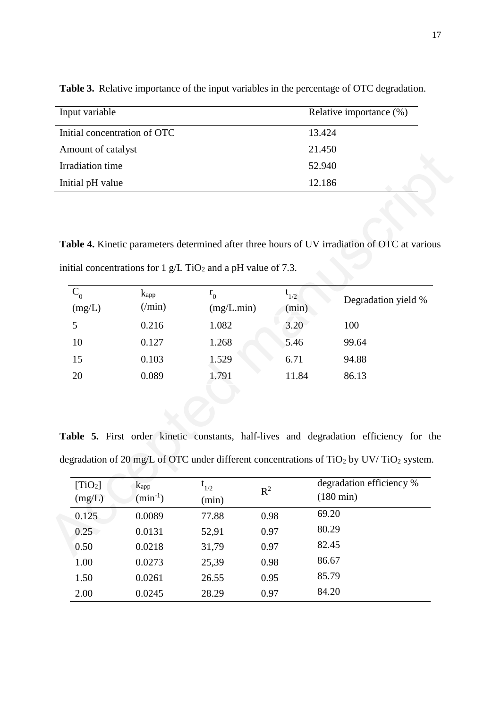| Input variable               | Relative importance (%) |
|------------------------------|-------------------------|
| Initial concentration of OTC | 13.424                  |
| Amount of catalyst           | 21.450                  |
| Irradiation time             | 52.940                  |
| Initial pH value             | 12.186                  |

**Table 3.** Relative importance of the input variables in the percentage of OTC degradation.

**Table 4.** Kinetic parameters determined after three hours of UV irradiation of OTC at various initial concentrations for 1 g/L TiO<sub>2</sub> and a pH value of 7.3.

| Allioulit of Catalyst |                         |                                                                            |           | 41.4JU                                                                                                          |  |  |
|-----------------------|-------------------------|----------------------------------------------------------------------------|-----------|-----------------------------------------------------------------------------------------------------------------|--|--|
| Irradiation time      |                         |                                                                            | 52.940    |                                                                                                                 |  |  |
| Initial pH value      |                         |                                                                            | 12.186    |                                                                                                                 |  |  |
|                       |                         |                                                                            |           |                                                                                                                 |  |  |
|                       |                         |                                                                            |           |                                                                                                                 |  |  |
|                       |                         |                                                                            |           | Table 4. Kinetic parameters determined after three hours of UV irradiation of OTC at various                    |  |  |
|                       |                         |                                                                            |           |                                                                                                                 |  |  |
|                       |                         | initial concentrations for 1 $g/L$ TiO <sub>2</sub> and a pH value of 7.3. |           |                                                                                                                 |  |  |
| $C_0$                 | <b>k</b> <sub>app</sub> | $r_{0}$                                                                    | $t_{1/2}$ | Degradation yield %                                                                                             |  |  |
| $\rm (mg/L)$          | $(\text{min})$          | (mg/L.min)                                                                 | (min)     |                                                                                                                 |  |  |
| 5                     | 0.216                   | 1.082                                                                      | 3.20      | 100                                                                                                             |  |  |
| 10                    | 0.127                   | 1.268                                                                      | 5.46      | 99.64                                                                                                           |  |  |
| 15                    | 0.103                   | 1.529                                                                      | 6.71      | 94.88                                                                                                           |  |  |
| 20                    | 0.089                   | 1.791                                                                      | 11.84     | 86.13                                                                                                           |  |  |
|                       |                         |                                                                            |           |                                                                                                                 |  |  |
|                       |                         |                                                                            |           |                                                                                                                 |  |  |
|                       |                         |                                                                            |           |                                                                                                                 |  |  |
|                       |                         |                                                                            |           | Table 5. First order kinetic constants, half-lives and degradation efficiency for the                           |  |  |
|                       |                         |                                                                            |           | degradation of 20 mg/L of OTC under different concentrations of TiO <sub>2</sub> by UV/TiO <sub>2</sub> system. |  |  |
|                       |                         |                                                                            |           |                                                                                                                 |  |  |
| [TiO <sub>2</sub> ]   | $k_{app}$               | $t_{1/2}$                                                                  | $R^2$     | degradation efficiency %                                                                                        |  |  |
| (mg/L)                | $(min^{-1})$            | (min)                                                                      |           | $(180 \text{ min})$                                                                                             |  |  |
| 0.125                 | 0.0089                  | 77.88                                                                      | 0.98      | 69.20                                                                                                           |  |  |
| 0.25                  | 0.0131                  | 52,91                                                                      | 0.97      | 80.29                                                                                                           |  |  |
| 0.50                  | 0.0218                  | 31,79                                                                      | 0.97      | 82.45                                                                                                           |  |  |
|                       |                         |                                                                            |           |                                                                                                                 |  |  |

Table 5. First order kinetic constants, half-lives and degradation efficiency for the degradation of 20 mg/L of OTC under different concentrations of TiO<sub>2</sub> by UV/TiO<sub>2</sub> system.

| [TiO <sub>2</sub> ]<br>(mg/L) | k <sub>app</sub><br>$(min^{-1})$ | $t_{1/2}$<br>(min) | $\mathbb{R}^2$ | degradation efficiency %<br>$(180 \text{ min})$ |
|-------------------------------|----------------------------------|--------------------|----------------|-------------------------------------------------|
| 0.125                         | 0.0089                           | 77.88              | 0.98           | 69.20                                           |
| 0.25                          | 0.0131                           | 52,91              | 0.97           | 80.29                                           |
| 0.50                          | 0.0218                           | 31,79              | 0.97           | 82.45                                           |
| 1.00                          | 0.0273                           | 25,39              | 0.98           | 86.67                                           |
| 1.50                          | 0.0261                           | 26.55              | 0.95           | 85.79                                           |
| 2.00                          | 0.0245                           | 28.29              | 0.97           | 84.20                                           |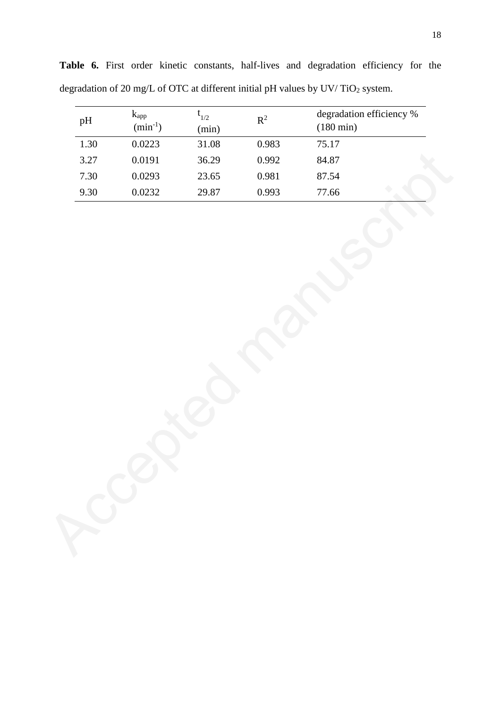| pH       | $k_{\rm app}$<br>$(min^{-1})$ | $\mathfrak{t}_{1/2}$<br>(min) | $\mathbf{R}^2$ | degradation efficiency %<br>$(180 \text{ min})$ |
|----------|-------------------------------|-------------------------------|----------------|-------------------------------------------------|
| 1.30     | 0.0223                        | 31.08                         | 0.983          | 75.17                                           |
| 3.27     | 0.0191                        | 36.29                         | 0.992          | 84.87                                           |
| $7.30\,$ | 0.0293                        | 23.65                         | $0.981\,$      | 87.54                                           |
| 9.30     | 0.0232                        | 29.87                         | 0.993          | 77.66                                           |
|          |                               |                               |                |                                                 |

**Table 6.** First order kinetic constants, half-lives and degradation efficiency for the degradation of 20 mg/L of OTC at different initial pH values by UV/TiO<sub>2</sub> system.